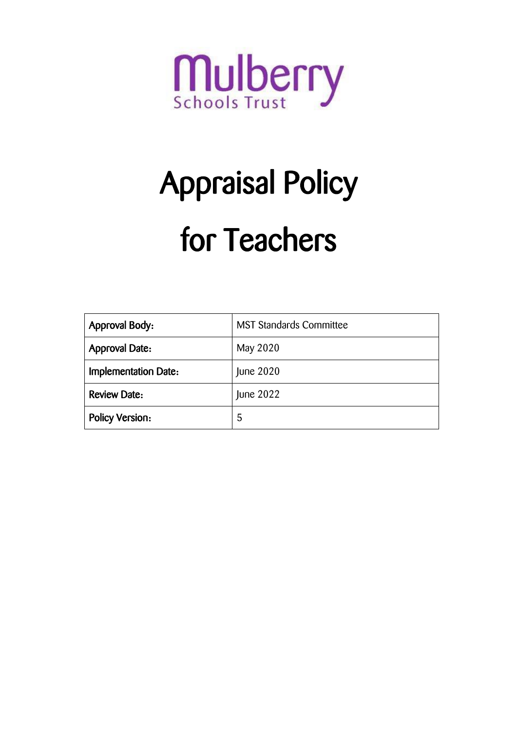

# Appraisal Policy for Teachers

| <b>Approval Body:</b>       | <b>MST Standards Committee</b> |
|-----------------------------|--------------------------------|
| <b>Approval Date:</b>       | May 2020                       |
| <b>Implementation Date:</b> | June 2020                      |
| <b>Review Date:</b>         | June 2022                      |
| <b>Policy Version:</b>      | 5                              |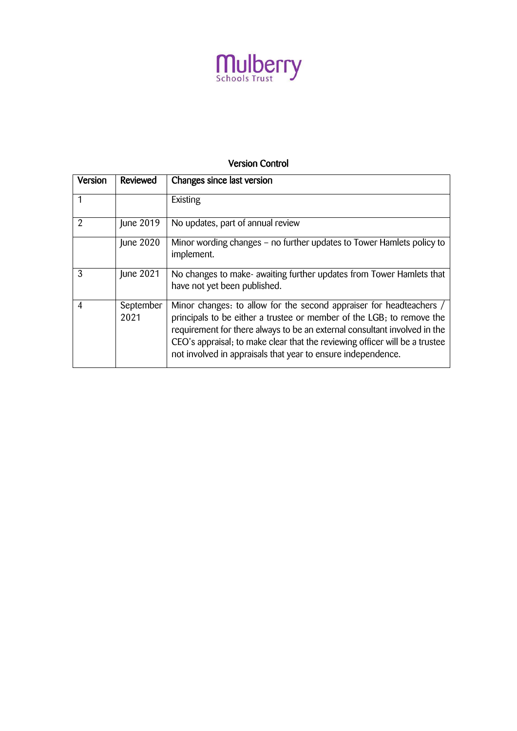

# Version Control

| Version        | Reviewed          | Changes since last version                                                                                                                                                                                                                                                                                                                                               |
|----------------|-------------------|--------------------------------------------------------------------------------------------------------------------------------------------------------------------------------------------------------------------------------------------------------------------------------------------------------------------------------------------------------------------------|
|                |                   | Existing                                                                                                                                                                                                                                                                                                                                                                 |
| $\mathfrak{D}$ | June 2019         | No updates, part of annual review                                                                                                                                                                                                                                                                                                                                        |
|                | June 2020         | Minor wording changes - no further updates to Tower Hamlets policy to<br>implement.                                                                                                                                                                                                                                                                                      |
| 3              | June 2021         | No changes to make- awaiting further updates from Tower Hamlets that<br>have not yet been published.                                                                                                                                                                                                                                                                     |
| 4              | September<br>2021 | Minor changes: to allow for the second appraiser for headteachers /<br>principals to be either a trustee or member of the LGB; to remove the<br>requirement for there always to be an external consultant involved in the<br>CEO's appraisal; to make clear that the reviewing officer will be a trustee<br>not involved in appraisals that year to ensure independence. |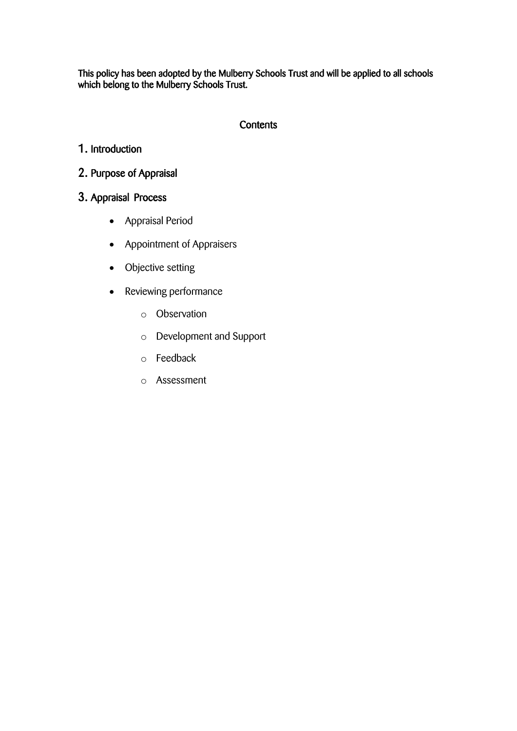This policy has been adopted by the Mulberry Schools Trust and will be applied to all schools which belong to the Mulberry Schools Trust.

# **Contents**

# 1. Introduction

# 2. Purpose of Appraisal

# 3. Appraisal Process

- Appraisal Period
- Appointment of Appraisers
- Objective setting
- Reviewing performance
	- o Observation
	- o Development and Support
	- o Feedback
	- o Assessment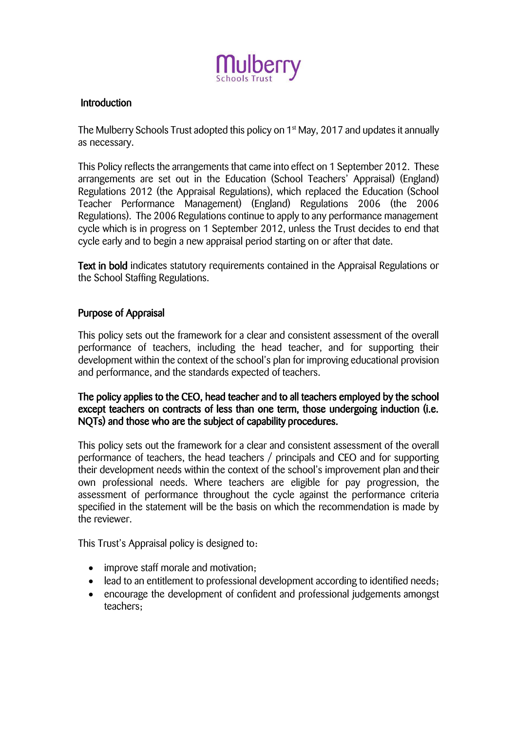

# **Introduction**

The Mulberry Schools Trust adopted this policy on 1st May, 2017 and updates it annually as necessary.

This Policy reflects the arrangements that came into effect on 1 September 2012. These arrangements are set out in the Education (School Teachers' Appraisal) (England) Regulations 2012 (the Appraisal Regulations), which replaced the Education (School Teacher Performance Management) (England) Regulations 2006 (the 2006 Regulations). The 2006 Regulations continue to apply to any performance management cycle which is in progress on 1 September 2012, unless the Trust decides to end that cycle early and to begin a new appraisal period starting on or after that date.

Text in bold indicates statutory requirements contained in the Appraisal Regulations or the School Staffing Regulations.

# Purpose of Appraisal

This policy sets out the framework for a clear and consistent assessment of the overall performance of teachers, including the head teacher, and for supporting their development within the context of the school's plan for improving educational provision and performance, and the standards expected of teachers.

# The policy applies to the CEO, head teacher and to all teachers employed by the school except teachers on contracts of less than one term, those undergoing induction (i.e. NQTs) and those who are the subject of capability procedures.

This policy sets out the framework for a clear and consistent assessment of the overall performance of teachers, the head teachers / principals and CEO and for supporting their development needs within the context of the school's improvement plan and their own professional needs. Where teachers are eligible for pay progression, the assessment of performance throughout the cycle against the performance criteria specified in the statement will be the basis on which the recommendation is made by the reviewer.

This Trust's Appraisal policy is designed to:

- improve staff morale and motivation;
- lead to an entitlement to professional development according to identified needs;
- encourage the development of confident and professional judgements amongst teachers;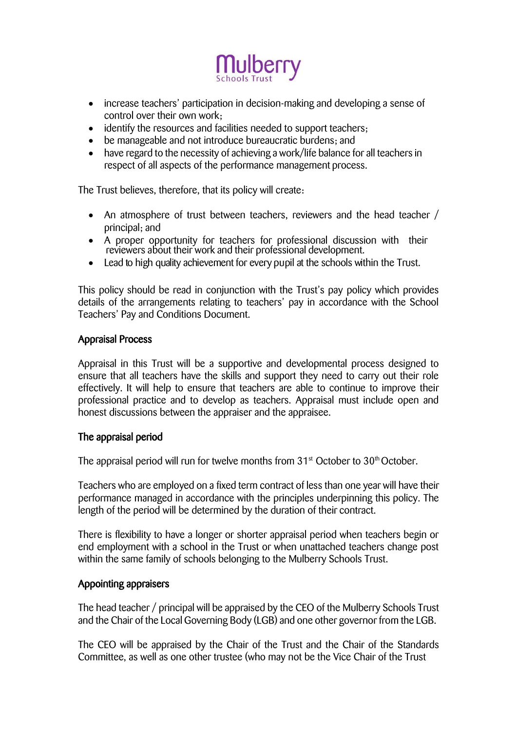

- increase teachers' participation in decision-making and developing a sense of control over their own work;
- identify the resources and facilities needed to support teachers;
- be manageable and not introduce bureaucratic burdens; and
- have regard to the necessity of achieving a work/life balance for all teachers in respect of all aspects of the performance management process.

The Trust believes, therefore, that its policy will create:

- An atmosphere of trust between teachers, reviewers and the head teacher / principal; and
- A proper opportunity for teachers for professional discussion with their reviewers about their work and their professional development.
- Lead to high quality achievement for every pupil at the schools within the Trust.

This policy should be read in conjunction with the Trust's pay policy which provides details of the arrangements relating to teachers' pay in accordance with the School Teachers' Pay and Conditions Document.

#### Appraisal Process

Appraisal in this Trust will be a supportive and developmental process designed to ensure that all teachers have the skills and support they need to carry out their role effectively. It will help to ensure that teachers are able to continue to improve their professional practice and to develop as teachers. Appraisal must include open and honest discussions between the appraiser and the appraisee.

#### The appraisal period

The appraisal period will run for twelve months from 31<sup>st</sup> October to 30<sup>th</sup> October.

Teachers who are employed on a fixed term contract of less than one year will have their performance managed in accordance with the principles underpinning this policy. The length of the period will be determined by the duration of their contract.

There is flexibility to have a longer or shorter appraisal period when teachers begin or end employment with a school in the Trust or when unattached teachers change post within the same family of schools belonging to the Mulberry Schools Trust.

#### Appointing appraisers

The head teacher / principal will be appraised by the CEO of the Mulberry Schools Trust and the Chair of the Local Governing Body (LGB) and one other governor from the LGB.

The CEO will be appraised by the Chair of the Trust and the Chair of the Standards Committee, as well as one other trustee (who may not be the Vice Chair of the Trust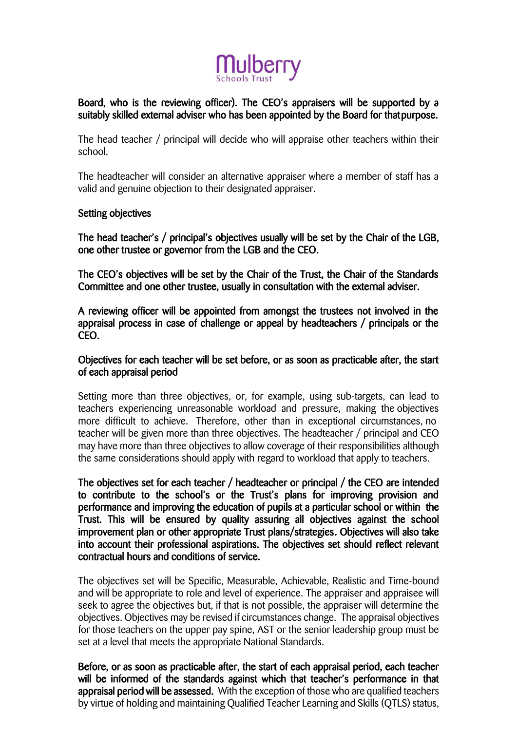

# Board, who is the reviewing officer). The CEO's appraisers will be supported by a suitably skilled external adviser who has been appointed by the Board for that purpose.

The head teacher / principal will decide who will appraise other teachers within their school.

The headteacher will consider an alternative appraiser where a member of staff has a valid and genuine objection to their designated appraiser.

# Setting objectives

The head teacher's / principal's objectives usually will be set by the Chair of the LGB, one other trustee or governor from the LGB and the CEO.

The CEO's objectives will be set by the Chair of the Trust, the Chair of the Standards Committee and one other trustee, usually in consultation with the external adviser.

A reviewing officer will be appointed from amongst the trustees not involved in the appraisal process in case of challenge or appeal by headteachers / principals or the CEO.

#### Objectives for each teacher will be set before, or as soon as practicable after, the start of each appraisal period

Setting more than three objectives, or, for example, using sub-targets, can lead to teachers experiencing unreasonable workload and pressure, making the objectives more difficult to achieve. Therefore, other than in exceptional circumstances, no teacher will be given more than three objectives. The headteacher / principal and CEO may have more than three objectives to allow coverage of their responsibilities although the same considerations should apply with regard to workload that apply to teachers.

The objectives set for each teacher / headteacher or principal / the CEO are intended to contribute to the school's or the Trust's plans for improving provision and performance and improving the education of pupils at a particular school or within the Trust. This will be ensured by quality assuring all objectives against the school improvement plan or other appropriate Trust plans/strategies. Objectives will also take into account their professional aspirations. The objectives set should reflect relevant contractual hours and conditions of service.

The objectives set will be Specific, Measurable, Achievable, Realistic and Time-bound and will be appropriate to role and level of experience. The appraiser and appraisee will seek to agree the objectives but, if that is not possible, the appraiser will determine the objectives. Objectives may be revised if circumstances change. The appraisal objectives for those teachers on the upper pay spine, AST or the senior leadership group must be set at a level that meets the appropriate National Standards.

Before, or as soon as practicable after, the start of each appraisal period, each teacher will be informed of the standards against which that teacher's performance in that appraisal period will be assessed. With the exception of those who are qualified teachers by virtue of holding and maintaining Qualified Teacher Learning and Skills (QTLS) status,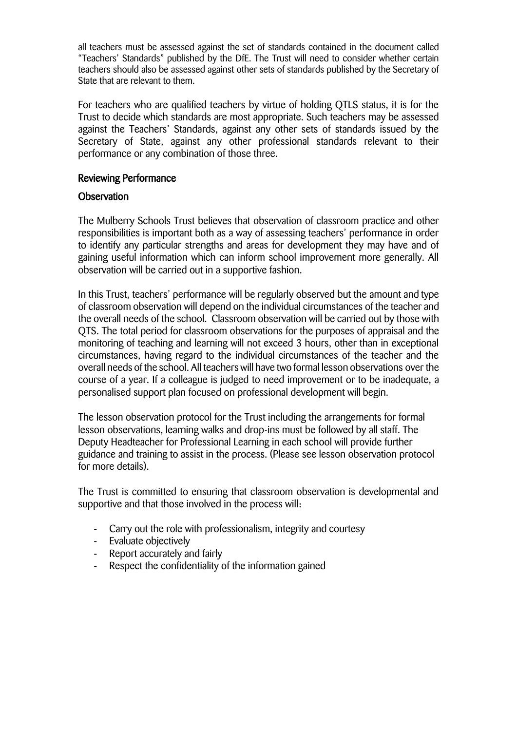all teachers must be assessed against the set of standards contained in the document called "Teachers' Standards" published by the DfE. The Trust will need to consider whether certain teachers should also be assessed against other sets of standards published by the Secretary of State that are relevant to them.

For teachers who are qualified teachers by virtue of holding QTLS status, it is for the Trust to decide which standards are most appropriate. Such teachers may be assessed against the Teachers' Standards, against any other sets of standards issued by the Secretary of State, against any other professional standards relevant to their performance or any combination of those three.

# Reviewing Performance

# **Observation**

The Mulberry Schools Trust believes that observation of classroom practice and other responsibilities is important both as a way of assessing teachers' performance in order to identify any particular strengths and areas for development they may have and of gaining useful information which can inform school improvement more generally. All observation will be carried out in a supportive fashion.

In this Trust, teachers' performance will be regularly observed but the amount and type of classroom observation will depend on the individual circumstances of the teacher and the overall needs of the school. Classroom observation will be carried out by those with QTS. The total period for classroom observations for the purposes of appraisal and the monitoring of teaching and learning will not exceed 3 hours, other than in exceptional circumstances, having regard to the individual circumstances of the teacher and the overall needs of the school. All teachers will have two formal lesson observations over the course of a year. If a colleague is judged to need improvement or to be inadequate, a personalised support plan focused on professional development will begin.

The lesson observation protocol for the Trust including the arrangements for formal lesson observations, learning walks and drop-ins must be followed by all staff. The Deputy Headteacher for Professional Learning in each school will provide further guidance and training to assist in the process. (Please see lesson observation protocol for more details).

The Trust is committed to ensuring that classroom observation is developmental and supportive and that those involved in the process will:

- Carry out the role with professionalism, integrity and courtesy
- Evaluate objectively
- Report accurately and fairly
- Respect the confidentiality of the information gained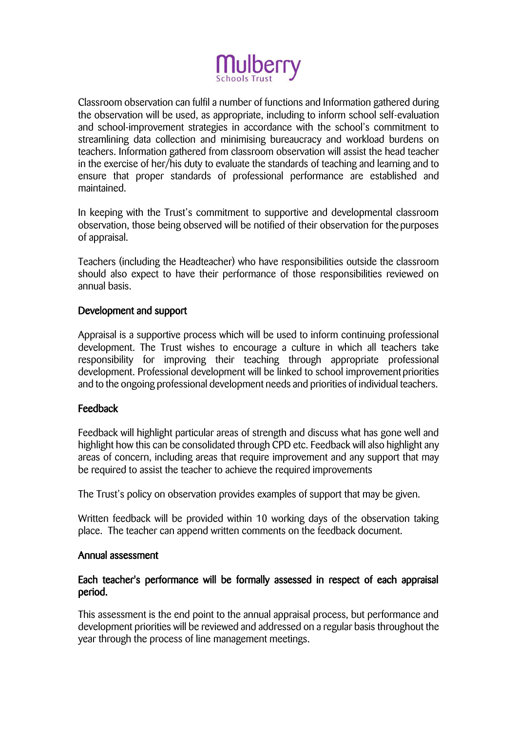

Classroom observation can fulfil a number of functions and Information gathered during the observation will be used, as appropriate, including to inform school self-evaluation and school-improvement strategies in accordance with the school's commitment to streamlining data collection and minimising bureaucracy and workload burdens on teachers. Information gathered from classroom observation will assist the head teacher in the exercise of her/his duty to evaluate the standards of teaching and learning and to ensure that proper standards of professional performance are established and maintained.

In keeping with the Trust's commitment to supportive and developmental classroom observation, those being observed will be notified of their observation for the purposes of appraisal.

Teachers (including the Headteacher) who have responsibilities outside the classroom should also expect to have their performance of those responsibilities reviewed on annual basis.

#### Development and support

Appraisal is a supportive process which will be used to inform continuing professional development. The Trust wishes to encourage a culture in which all teachers take responsibility for improving their teaching through appropriate professional development. Professional development will be linked to school improvement priorities and to the ongoing professional development needs and priorities of individual teachers.

#### Feedback

Feedback will highlight particular areas of strength and discuss what has gone well and highlight how this can be consolidated through CPD etc. Feedback will also highlight any areas of concern, including areas that require improvement and any support that may be required to assist the teacher to achieve the required improvements

The Trust's policy on observation provides examples of support that may be given.

Written feedback will be provided within 10 working days of the observation taking place. The teacher can append written comments on the feedback document.

#### Annual assessment

#### Each teacher's performance will be formally assessed in respect of each appraisal period.

This assessment is the end point to the annual appraisal process, but performance and development priorities will be reviewed and addressed on a regular basis throughout the year through the process of line management meetings.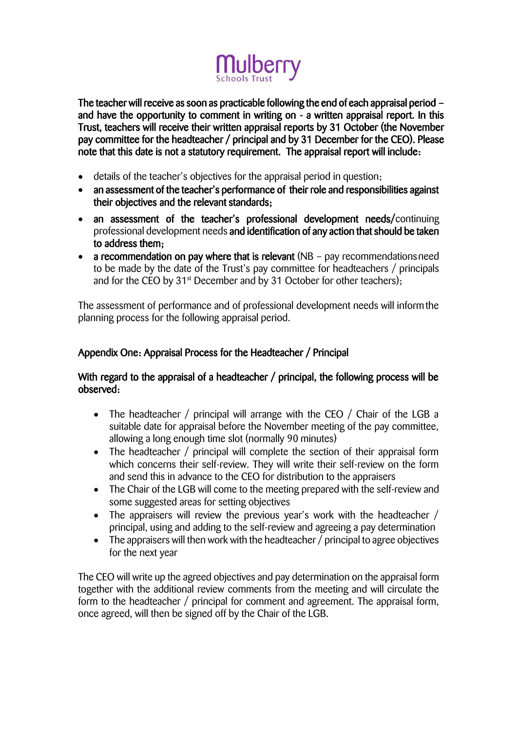

The teacher will receive as soon as practicable following the end of each appraisal period – and have the opportunity to comment in writing on - a written appraisal report. In this Trust, teachers will receive their written appraisal reports by 31 October (the November pay committee for the headteacher / principal and by 31 December for the CEO). Please note that this date is not a statutory requirement. The appraisal report will include:

- details of the teacher's objectives for the appraisal period in question;
- an assessment of the teacher's performance of their role and responsibilities against their objectives and the relevant standards;
- an assessment of the teacher's professional development needs/continuing professional development needs and identification of any action that should be taken to address them;
- a recommendation on pay where that is relevant (NB pay recommendations need to be made by the date of the Trust's pay committee for headteachers / principals and for the CEO by  $31<sup>st</sup>$  December and by 31 October for other teachers);

The assessment of performance and of professional development needs will informthe planning process for the following appraisal period.

# Appendix One: Appraisal Process for the Headteacher / Principal

# With regard to the appraisal of a headteacher / principal, the following process will be observed:

- The headteacher / principal will arrange with the CEO / Chair of the LGB a suitable date for appraisal before the November meeting of the pay committee, allowing a long enough time slot (normally 90 minutes)
- The headteacher / principal will complete the section of their appraisal form which concerns their self-review. They will write their self-review on the form and send this in advance to the CEO for distribution to the appraisers
- The Chair of the LGB will come to the meeting prepared with the self-review and some suggested areas for setting objectives
- The appraisers will review the previous year's work with the headteacher / principal, using and adding to the self-review and agreeing a pay determination
- The appraisers will then work with the headteacher / principal to agree objectives for the next year

The CEO will write up the agreed objectives and pay determination on the appraisal form together with the additional review comments from the meeting and will circulate the form to the headteacher / principal for comment and agreement. The appraisal form, once agreed, will then be signed off by the Chair of the LGB.